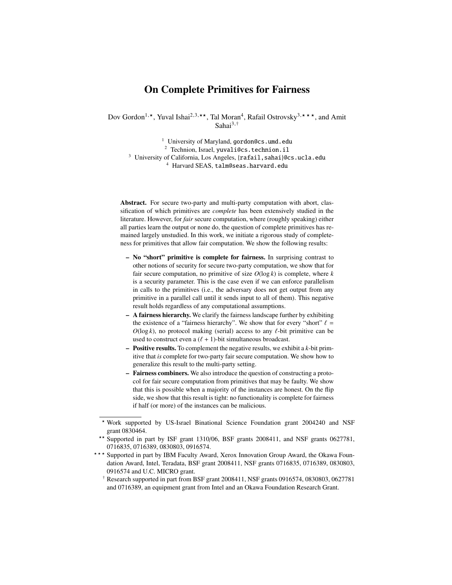# On Complete Primitives for Fairness

Dov Gordon<sup>1,\*</sup>, Yuval Ishai<sup>2,3,\*\*</sup>, Tal Moran<sup>4</sup>, Rafail Ostrovsky<sup>3,\*\*\*</sup>, and Amit Sahai $3, \dagger$ 

<sup>1</sup> University of Maryland, gordon@cs.umd.edu <sup>2</sup> Technion, Israel, yuvali@cs.technion.il <sup>3</sup> University of California, Los Angeles, {rafail, sahai}@cs.ucla.edu <sup>4</sup> Harvard SEAS, talm@seas.harvard.edu

Abstract. For secure two-party and multi-party computation with abort, classification of which primitives are *complete* has been extensively studied in the literature. However, for *fair* secure computation, where (roughly speaking) either all parties learn the output or none do, the question of complete primitives has remained largely unstudied. In this work, we initiate a rigorous study of completeness for primitives that allow fair computation. We show the following results:

- No "short" primitive is complete for fairness. In surprising contrast to other notions of security for secure two-party computation, we show that for fair secure computation, no primitive of size  $O(\log k)$  is complete, where *k* is a security parameter. This is the case even if we can enforce parallelism in calls to the primitives (i.e., the adversary does not get output from any primitive in a parallel call until it sends input to all of them). This negative result holds regardless of any computational assumptions.
- A fairness hierarchy. We clarify the fairness landscape further by exhibiting the existence of a "fairness hierarchy". We show that for every "short"  $\ell =$  $O(\log k)$ , no protocol making (serial) access to any  $\ell$ -bit primitive can be used to construct even a  $(\ell + 1)$ -bit simultaneous broadcast.
- Positive results. To complement the negative results, we exhibit a *k*-bit primitive that *is* complete for two-party fair secure computation. We show how to generalize this result to the multi-party setting.
- Fairness combiners. We also introduce the question of constructing a protocol for fair secure computation from primitives that may be faulty. We show that this is possible when a majority of the instances are honest. On the flip side, we show that this result is tight: no functionality is complete for fairness if half (or more) of the instances can be malicious.

<sup>?</sup> Work supported by US-Israel Binational Science Foundation grant 2004240 and NSF grant 0830464.

<sup>\*\*</sup> Supported in part by ISF grant 1310/06, BSF grants 2008411, and NSF grants 0627781, 0716835, 0716389, 0830803, 0916574.

<sup>\*\*\*</sup> Supported in part by IBM Faculty Award, Xerox Innovation Group Award, the Okawa Foundation Award, Intel, Teradata, BSF grant 2008411, NSF grants 0716835, 0716389, 0830803, 0916574 and U.C. MICRO grant.

<sup>†</sup> Research supported in part from BSF grant 2008411, NSF grants 0916574, 0830803, 0627781 and 0716389, an equipment grant from Intel and an Okawa Foundation Research Grant.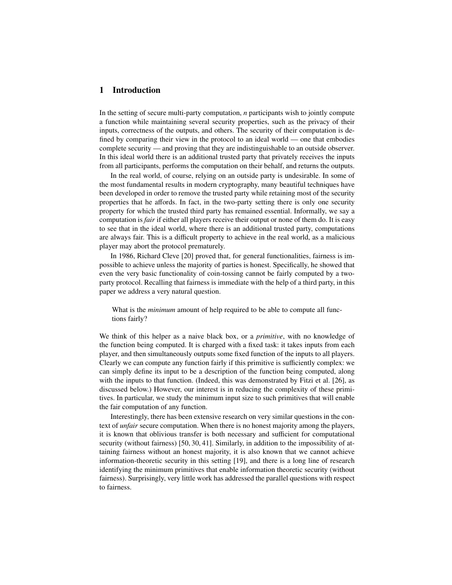# 1 Introduction

In the setting of secure multi-party computation, *n* participants wish to jointly compute a function while maintaining several security properties, such as the privacy of their inputs, correctness of the outputs, and others. The security of their computation is defined by comparing their view in the protocol to an ideal world — one that embodies complete security — and proving that they are indistinguishable to an outside observer. In this ideal world there is an additional trusted party that privately receives the inputs from all participants, performs the computation on their behalf, and returns the outputs.

In the real world, of course, relying on an outside party is undesirable. In some of the most fundamental results in modern cryptography, many beautiful techniques have been developed in order to remove the trusted party while retaining most of the security properties that he affords. In fact, in the two-party setting there is only one security property for which the trusted third party has remained essential. Informally, we say a computation is *fair* if either all players receive their output or none of them do. It is easy to see that in the ideal world, where there is an additional trusted party, computations are always fair. This is a difficult property to achieve in the real world, as a malicious player may abort the protocol prematurely.

In 1986, Richard Cleve [20] proved that, for general functionalities, fairness is impossible to achieve unless the majority of parties is honest. Specifically, he showed that even the very basic functionality of coin-tossing cannot be fairly computed by a twoparty protocol. Recalling that fairness is immediate with the help of a third party, in this paper we address a very natural question.

What is the *minimum* amount of help required to be able to compute all functions fairly?

We think of this helper as a naive black box, or a *primitive*, with no knowledge of the function being computed. It is charged with a fixed task: it takes inputs from each player, and then simultaneously outputs some fixed function of the inputs to all players. Clearly we can compute any function fairly if this primitive is sufficiently complex: we can simply define its input to be a description of the function being computed, along with the inputs to that function. (Indeed, this was demonstrated by Fitzi et al. [26], as discussed below.) However, our interest is in reducing the complexity of these primitives. In particular, we study the minimum input size to such primitives that will enable the fair computation of any function.

Interestingly, there has been extensive research on very similar questions in the context of *unfair* secure computation. When there is no honest majority among the players, it is known that oblivious transfer is both necessary and sufficient for computational security (without fairness) [50, 30, 41]. Similarly, in addition to the impossibility of attaining fairness without an honest majority, it is also known that we cannot achieve information-theoretic security in this setting [19], and there is a long line of research identifying the minimum primitives that enable information theoretic security (without fairness). Surprisingly, very little work has addressed the parallel questions with respect to fairness.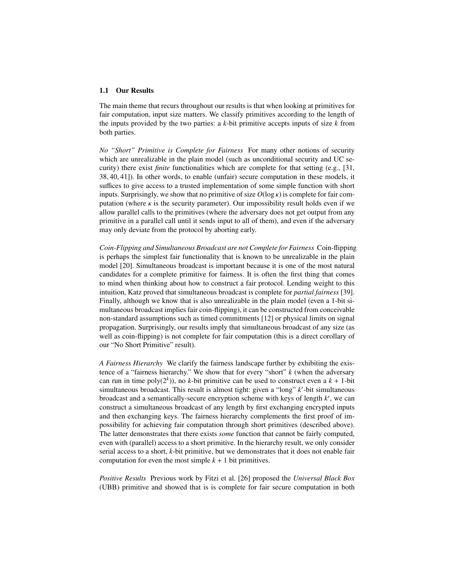#### 1.1 Our Results

The main theme that recurs throughout our results is that when looking at primitives for fair computation, input size matters. We classify primitives according to the length of the inputs provided by the two parties: a *k*-bit primitive accepts inputs of size *k* from both parties.

*No "Short" Primitive is Complete for Fairness* For many other notions of security which are unrealizable in the plain model (such as unconditional security and UC security) there exist *finite* functionalities which are complete for that setting (e.g., [31, 38, 40, 41]). In other words, to enable (unfair) secure computation in these models, it suffices to give access to a trusted implementation of some simple function with short inputs. Surprisingly, we show that no primitive of size  $O(\log \kappa)$  is complete for fair computation (where  $\kappa$  is the security parameter). Our impossibility result holds even if we allow parallel calls to the primitives (where the adversary does not get output from any primitive in a parallel call until it sends input to all of them), and even if the adversary may only deviate from the protocol by aborting early.

*Coin-Flipping and Simultaneous Broadcast are not Complete for Fairness* Coin-flipping is perhaps the simplest fair functionality that is known to be unrealizable in the plain model [20]. Simultaneous broadcast is important because it is one of the most natural candidates for a complete primitive for fairness. It is often the first thing that comes to mind when thinking about how to construct a fair protocol. Lending weight to this intuition, Katz proved that simultaneous broadcast is complete for *partial fairness* [39]. Finally, although we know that is also unrealizable in the plain model (even a 1-bit simultaneous broadcast implies fair coin-flipping), it can be constructed from conceivable non-standard assumptions such as timed commitments [12] or physical limits on signal propagation. Surprisingly, our results imply that simultaneous broadcast of any size (as well as coin-flipping) is not complete for fair computation (this is a direct corollary of our "No Short Primitive" result).

*A Fairness Hierarchy* We clarify the fairness landscape further by exhibiting the existence of a "fairness hierarchy." We show that for every "short" *k* (when the adversary can run in time poly $(2<sup>k</sup>)$ ), no *k*-bit primitive can be used to construct even a  $k + 1$ -bit simultaneous broadcast. This result is almost tight: given a "long" k'-bit simultaneous broadcast and a semantically-secure encryption scheme with keys of length  $k'$ , we can construct a simultaneous broadcast of any length by first exchanging encrypted inputs and then exchanging keys. The fairness hierarchy complements the first proof of impossibility for achieving fair computation through short primitives (described above). The latter demonstrates that there exists *some* function that cannot be fairly computed, even with (parallel) access to a short primitive. In the hierarchy result, we only consider serial access to a short, *k*-bit primitive, but we demonstrates that it does not enable fair computation for even the most simple  $k + 1$  bit primitives.

*Positive Results* Previous work by Fitzi et al. [26] proposed the *Universal Black Box* (UBB) primitive and showed that is is complete for fair secure computation in both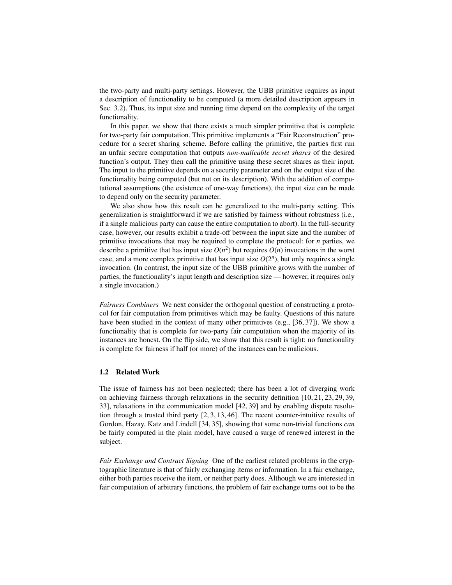the two-party and multi-party settings. However, the UBB primitive requires as input a description of functionality to be computed (a more detailed description appears in Sec. 3.2). Thus, its input size and running time depend on the complexity of the target functionality.

In this paper, we show that there exists a much simpler primitive that is complete for two-party fair computation. This primitive implements a "Fair Reconstruction" procedure for a secret sharing scheme. Before calling the primitive, the parties first run an unfair secure computation that outputs *non-malleable secret shares* of the desired function's output. They then call the primitive using these secret shares as their input. The input to the primitive depends on a security parameter and on the output size of the functionality being computed (but not on its description). With the addition of computational assumptions (the existence of one-way functions), the input size can be made to depend only on the security parameter.

We also show how this result can be generalized to the multi-party setting. This generalization is straightforward if we are satisfied by fairness without robustness (i.e., if a single malicious party can cause the entire computation to abort). In the full-security case, however, our results exhibit a trade-off between the input size and the number of primitive invocations that may be required to complete the protocol: for *n* parties, we describe a primitive that has input size  $O(n^2)$  but requires  $O(n)$  invocations in the worst case, and a more complex primitive that has input size  $O(2<sup>n</sup>)$ , but only requires a single invocation. (In contrast, the input size of the UBB primitive grows with the number of parties, the functionality's input length and description size — however, it requires only a single invocation.)

*Fairness Combiners* We next consider the orthogonal question of constructing a protocol for fair computation from primitives which may be faulty. Questions of this nature have been studied in the context of many other primitives (e.g., [36, 37]). We show a functionality that is complete for two-party fair computation when the majority of its instances are honest. On the flip side, we show that this result is tight: no functionality is complete for fairness if half (or more) of the instances can be malicious.

#### 1.2 Related Work

The issue of fairness has not been neglected; there has been a lot of diverging work on achieving fairness through relaxations in the security definition [10, 21, 23, 29, 39, 33], relaxations in the communication model [42, 39] and by enabling dispute resolution through a trusted third party [2, 3, 13, 46]. The recent counter-intuitive results of Gordon, Hazay, Katz and Lindell [34, 35], showing that some non-trivial functions *can* be fairly computed in the plain model, have caused a surge of renewed interest in the subject.

*Fair Exchange and Contract Signing* One of the earliest related problems in the cryptographic literature is that of fairly exchanging items or information. In a fair exchange, either both parties receive the item, or neither party does. Although we are interested in fair computation of arbitrary functions, the problem of fair exchange turns out to be the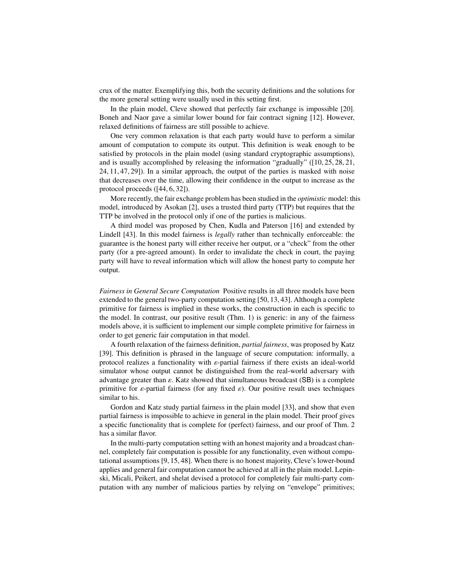crux of the matter. Exemplifying this, both the security definitions and the solutions for the more general setting were usually used in this setting first.

In the plain model, Cleve showed that perfectly fair exchange is impossible [20]. Boneh and Naor gave a similar lower bound for fair contract signing [12]. However, relaxed definitions of fairness are still possible to achieve.

One very common relaxation is that each party would have to perform a similar amount of computation to compute its output. This definition is weak enough to be satisfied by protocols in the plain model (using standard cryptographic assumptions), and is usually accomplished by releasing the information "gradually" ([10, 25, 28, 21, 24, 11, 47, 29]). In a similar approach, the output of the parties is masked with noise that decreases over the time, allowing their confidence in the output to increase as the protocol proceeds ([44, 6, 32]).

More recently, the fair exchange problem has been studied in the *optimistic* model: this model, introduced by Asokan [2], uses a trusted third party (TTP) but requires that the TTP be involved in the protocol only if one of the parties is malicious.

A third model was proposed by Chen, Kudla and Paterson [16] and extended by Lindell [43]. In this model fairness is *legally* rather than technically enforceable: the guarantee is the honest party will either receive her output, or a "check" from the other party (for a pre-agreed amount). In order to invalidate the check in court, the paying party will have to reveal information which will allow the honest party to compute her output.

*Fairness in General Secure Computation* Positive results in all three models have been extended to the general two-party computation setting [50, 13, 43]. Although a complete primitive for fairness is implied in these works, the construction in each is specific to the model. In contrast, our positive result (Thm. 1) is generic: in any of the fairness models above, it is sufficient to implement our simple complete primitive for fairness in order to get generic fair computation in that model.

A fourth relaxation of the fairness definition, *partial fairness*, was proposed by Katz [39]. This definition is phrased in the language of secure computation: informally, a protocol realizes a functionality with  $\varepsilon$ -partial fairness if there exists an ideal-world simulator whose output cannot be distinguished from the real-world adversary with advantage greater than  $\varepsilon$ . Katz showed that simultaneous broadcast (SB) is a complete primitive for  $\varepsilon$ -partial fairness (for any fixed  $\varepsilon$ ). Our positive result uses techniques similar to his.

Gordon and Katz study partial fairness in the plain model [33], and show that even partial fairness is impossible to achieve in general in the plain model. Their proof gives a specific functionality that is complete for (perfect) fairness, and our proof of Thm. 2 has a similar flavor.

In the multi-party computation setting with an honest majority and a broadcast channel, completely fair computation is possible for any functionality, even without computational assumptions [9, 15, 48]. When there is no honest majority, Cleve's lower-bound applies and general fair computation cannot be achieved at all in the plain model. Lepinski, Micali, Peikert, and shelat devised a protocol for completely fair multi-party computation with any number of malicious parties by relying on "envelope" primitives;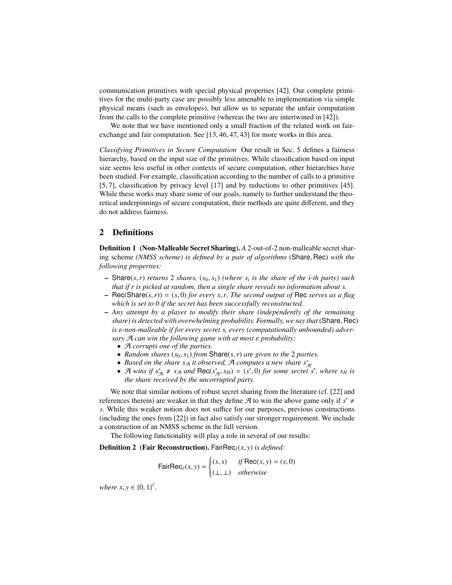communication primitives with special physical properties [42]. Our complete primitives for the multi-party case are possibly less amenable to implementation via simple physical means (such as envelopes), but allow us to separate the unfair computation from the calls to the complete primitive (whereas the two are intertwined in [42]).

We note that we have mentioned only a small fraction of the related work on fairexchange and fair computation. See [13, 46, 47, 43] for more works in this area.

*Classifying Primitives in Secure Computation* Our result in Sec. 5 defines a fairness hierarchy, based on the input size of the primitives. While classification based on input size seems less useful in other contexts of secure computation, other hierarchies have been studied. For example, classification according to the number of calls to a primitive [5, 7], classification by privacy level [17] and by reductions to other primitives [45]. While these works may share some of our goals, namely to further understand the theoretical underpinnings of secure computation, their methods are quite different, and they do not address fairness.

# 2 Definitions

**Definition 1** (Non-Malleable Secret Sharing). *A* 2-out-of-2 non-malleable secret sharing scheme *(NMSS scheme) is defined by a pair of algorithms* (Share, Rec) *with the following properties:*

- $\blacksquare$  Share(*s*,*r*) returns 2 *shares,* (*s*<sub>0</sub>, *s*<sub>1</sub>) (where *s*<sub>i</sub> is the share of the *i*-th party) such that if *r* is picked at random, then a single share reveals no information about *s that if r is picked at random, then a single share reveals no information about s.*
- Rec(Share(*s*,*r*)) <sup>=</sup> (*s*, 0) *for every s*,*r. The second output of* Rec *serves as a flag which is set to 0 if the secret has been successfully reconstructed.*
- *Any attempt by a player to modify their share (independently of the remaining share) is detected with overwhelming probability. Formally, we say that* (Share, Rec) *is* ε*-non-malleable if for every secret s, every (computationally unbounded) adversary* <sup>A</sup> *can win the following game with at most* ε *probability:*
	- A *corrupts one of the parties.*
	- *Random shares*  $(s_0, s_1)$  *from* **Share** $(s, r)$  *are given to the* 2 *parties.*
	- Based on the share  $s_{\mathcal{A}}$  it observed,  $\mathcal A$  computes a new share  $s_{\mathcal{A}}^*$ .
	- A wins if  $s_A^* \neq s_A$  and  $\text{Rec}(s_A^*, s_H) = (s', 0)$  for some secret s', where  $s_H$  is the share received by the uncorrunted party *the share received by the uncorrupted party.*

We note that similar notions of robust secret sharing from the literature (cf. [22] and references therein) are weaker in that they define  $\mathcal A$  to win the above game only if  $s' \neq$ *s*. While this weaker notion does not suffice for our purposes, previous constructions (including the ones from [22]) in fact also satisfy our stronger requirement. We include a construction of an NMSS scheme in the full version.

The following functionality will play a role in several of our results:

**Definition 2** (Fair Reconstruction). FairRec<sub> $\ell$ </sub>(*x*, *y*) *is defined:* 

$$
\text{FairRec}_{\ell}(x, y) = \begin{cases} (s, s) & \text{if } \text{Rec}(x, y) = (s, 0) \\ (\perp, \perp) & \text{otherwise} \end{cases}
$$

*where*  $x, y \in \{0, 1\}^{\ell}$ .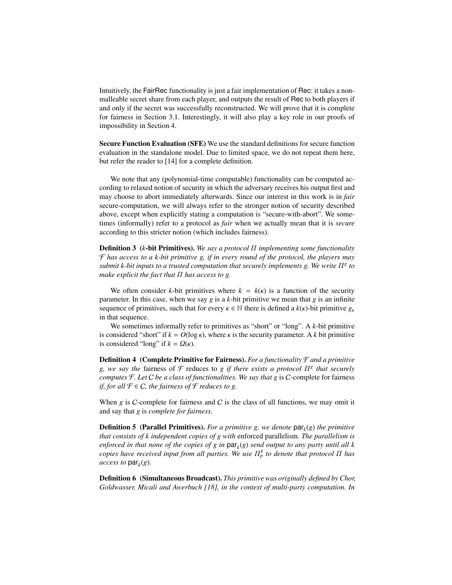Intuitively, the FairRec functionality is just a fair implementation of Rec: it takes a nonmalleable secret share from each player, and outputs the result of Rec to both players if and only if the secret was successfully reconstructed. We will prove that it is complete for fairness in Section 3.1. Interestingly, it will also play a key role in our proofs of impossibility in Section 4.

Secure Function Evaluation (SFE) We use the standard definitions for secure function evaluation in the standalone model. Due to limited space, we do not repeat them here, but refer the reader to [14] for a complete definition.

We note that any (polynomial-time computable) functionality can be computed according to relaxed notion of security in which the adversary receives his output first and may choose to abort immediately afterwards. Since our interest in this work is in *fair* secure-computation, we will always refer to the stronger notion of security described above, except when explicitly stating a computation is "secure-with-abort". We sometimes (informally) refer to a protocol as *fair* when we actually mean that it is *secure* according to this stricter notion (which includes fairness).

Definition 3 (*k*-bit Primitives). *We say a protocol* Π *implementing some functionality* F *has access to a k-bit primitive g, if in every round of the protocol, the players may submit k-bit inputs to a trusted computation that securely implements g. We write*  $\Pi^g$  *to*<br>make explicit the fact that  $\Pi$  has access to a *make explicit the fact that* Π *has access to g.*

We often consider *k*-bit primitives where  $k = k(\kappa)$  is a function of the security parameter. In this case, when we say *g* is a *k*-bit primitive we mean that *g* is an infinite sequence of primitives, such that for every  $\kappa \in \mathbb{N}$  there is defined a  $k(\kappa)$ -bit primitive  $g_k$ in that sequence.

We sometimes informally refer to primitives as "short" or "long". A *k*-bit primitive is considered "short" if  $k = O(\log \kappa)$ , where  $\kappa$  is the security parameter. A k bit primitive is considered "long" if  $k = Q(\kappa)$ .

Definition 4 (Complete Primitive for Fairness). *For a functionality* F *and a primitive g, we say the fairness of*  $\mathcal F$  *reduces to <i>g if there exists a protocol*  $\Pi^g$  *that securely*<br>*computes*  $\mathcal F$  *Let C be a class of functionalities. We say that a is C*-complete for fairness *computes* F*. Let* C *be a class of functionalities. We say that g* is C-complete for fairness *if, for all*  $\mathcal{F} \in \mathcal{C}$ *, the fairness of*  $\mathcal{F}$  *reduces to g.* 

When  $g$  is  $C$ -complete for fairness and  $C$  is the class of all functions, we may omit it and say that *g* is *complete for fairness*.

Definition 5 (Parallel Primitives). *For a primitive g, we denote* par*<sup>k</sup>* (*g*) *the primitive that consists of k independent copies of g with* enforced parallelism*. The parallelism is enforced in that none of the copies of g in* par*<sup>k</sup>* (*g*) *send output to any party until all k copies have received input from all parties. We use*  $\Pi_p^g$  *to denote that protocol*  $\Pi$  *has access to par.(a)*  $access\ to\ par_k(g)$ .

Definition 6 (Simultaneous Broadcast). *This primitive was originally defined by Chor, Goldwasser, Micali and Awerbuch [18], in the context of multi-party computation. In*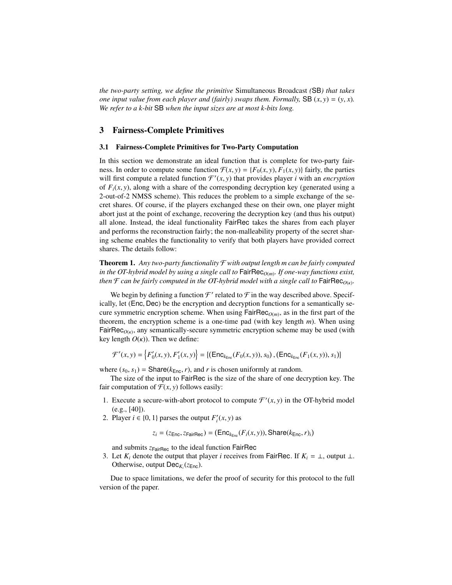*the two-party setting, we define the primitive* Simultaneous Broadcast *(*SB*) that takes one input value from each player and (fairly) swaps them. Formally,*  $SB(x, y) = (y, x)$ . *We refer to a k-bit* SB *when the input sizes are at most k-bits long.*

## 3 Fairness-Complete Primitives

#### 3.1 Fairness-Complete Primitives for Two-Party Computation

In this section we demonstrate an ideal function that is complete for two-party fairness. In order to compute some function  $\mathcal{F}(x, y) = \{F_0(x, y), F_1(x, y)\}\$  fairly, the parties will first compute a related function  $\mathcal{F}'(x, y)$  that provides player *i* with an *encryption* of  $F(x, y)$  along with a share of the corresponding decryption key (generated using a of  $F_i(x, y)$ , along with a share of the corresponding decryption key (generated using a 2-out-of-2 NMSS scheme). This reduces the problem to a simple exchange of the secret shares. Of course, if the players exchanged these on their own, one player might abort just at the point of exchange, recovering the decryption key (and thus his output) all alone. Instead, the ideal functionality FairRec takes the shares from each player and performs the reconstruction fairly; the non-malleability property of the secret sharing scheme enables the functionality to verify that both players have provided correct shares. The details follow:

Theorem 1. *Any two-party functionality* F *with output length m can be fairly computed in the OT-hybrid model by using a single call to* FairRec*O*(*m*) *. If one-way functions exist,* then  $\mathcal F$  *can be fairly computed in the OT-hybrid model with a single call to*  $\mathsf{FairRec}_{O(\kappa)}$ *.* 

We begin by defining a function  $\mathcal{F}'$  related to  $\mathcal{F}$  in the way described above. Specifically, let (Enc, Dec) be the encryption and decryption functions for a semantically secure symmetric encryption scheme. When using  $\mathsf{FairRec}_{O(m)}$ , as in the first part of the theorem, the encryption scheme is a one-time pad (with key length *m*). When using FairRec<sub>*O(κ)*</sub>, any semantically-secure symmetric encryption scheme may be used (with  $C(x)$ ). Then we defined key length  $O(K)$ ). Then we define:

$$
\mathcal{F}'(x,y) = \left\{ F'_0(x,y), F'_1(x,y) \right\} = \left\{ (\mathsf{Enc}_{k_{\mathsf{Enc}}}(F_0(x,y)), s_0), (\mathsf{Enc}_{k_{\mathsf{Enc}}}(F_1(x,y)), s_1) \right\}
$$

where  $(s_0, s_1)$  = Share( $k_{\text{Enc}}$ , *r*), and *r* is chosen uniformly at random.

The size of the input to FairRec is the size of the share of one decryption key. The fair computation of  $\mathcal{F}(x, y)$  follows easily:

- 1. Execute a secure-with-abort protocol to compute  $\mathcal{F}'(x, y)$  in the OT-hybrid model (*e.g.* [40])  $(e.g., [40])$ .
- 2. Player  $i \in \{0, 1\}$  parses the output  $F'_i(x, y)$  as

$$
z_i = (z_{\text{Enc}}, z_{\text{FairRec}}) = (\text{Enc}_{k_{\text{Enc}}}(F_i(x, y)), \text{Share}(k_{\text{Enc}}, r)_i)
$$

and submits  $z_{\text{FairRec}}$  to the ideal function FairRec

3. Let  $K_i$  denote the output that player *i* receives from FairRec. If  $K_i = \perp$ , output  $\perp$ . Otherwise, output Dec*K<sup>i</sup>* (*z*Enc).

Due to space limitations, we defer the proof of security for this protocol to the full version of the paper.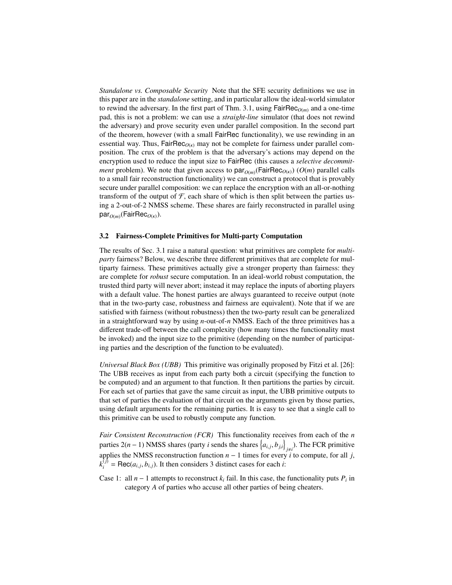*Standalone vs. Composable Security* Note that the SFE security definitions we use in this paper are in the *standalone* setting, and in particular allow the ideal-world simulator to rewind the adversary. In the first part of Thm. 3.1, using  $\text{FairRec}_{O(m)}$  and a one-time pad, this is not a problem: we can use a *straight-line* simulator (that does not rewind the adversary) and prove security even under parallel composition. In the second part of the theorem, however (with a small FairRec functionality), we use rewinding in an essential way. Thus, FairRec<sub> $O(\kappa)$ </sub> may not be complete for fairness under parallel composition. The crux of the problem is that the adversary's actions may depend on the encryption used to reduce the input size to FairRec (this causes a *selective decommitment* problem). We note that given access to  $par_{O(m)}(FairRec_{O(\kappa)})$  ( $O(m)$  parallel calls to a maple for acceptanctic functionality) we see construct a material that is may obly to a small fair reconstruction functionality) we can construct a protocol that is provably secure under parallel composition: we can replace the encryption with an all-or-nothing transform of the output of  $\mathcal F$ , each share of which is then split between the parties using a 2-out-of-2 NMSS scheme. These shares are fairly reconstructed in parallel using par*O*(*m*) (FairRec*O*(κ)).

#### 3.2 Fairness-Complete Primitives for Multi-party Computation

The results of Sec. 3.1 raise a natural question: what primitives are complete for *multiparty* fairness? Below, we describe three different primitives that are complete for multiparty fairness. These primitives actually give a stronger property than fairness: they are complete for *robust* secure computation. In an ideal-world robust computation, the trusted third party will never abort; instead it may replace the inputs of aborting players with a default value. The honest parties are always guaranteed to receive output (note that in the two-party case, robustness and fairness are equivalent). Note that if we are satisfied with fairness (without robustness) then the two-party result can be generalized in a straightforward way by using *n*-out-of-*n* NMSS. Each of the three primitives has a different trade-off between the call complexity (how many times the functionality must be invoked) and the input size to the primitive (depending on the number of participating parties and the description of the function to be evaluated).

*Universal Black Box (UBB)* This primitive was originally proposed by Fitzi et al. [26]: The UBB receives as input from each party both a circuit (specifying the function to be computed) and an argument to that function. It then partitions the parties by circuit. For each set of parties that gave the same circuit as input, the UBB primitive outputs to that set of parties the evaluation of that circuit on the arguments given by those parties, using default arguments for the remaining parties. It is easy to see that a single call to this primitive can be used to robustly compute any function.

*Fair Consistent Reconstruction (FCR)* This functionality receives from each of the *n* parties 2(*n* − 1) NMSS shares (party *i* sends the shares  $\left\{a_{i,j}, b_{j,i}\right\}_{j \neq i}$ ). The FCR primitive applies the NMSS reconstruction function  $n - 1$  times for every *i* to compute, for all *j*,  $k_i^{(j)}$  $\mathbf{F}_i^{(j)}$  = Rec( $a_{i,j}, b_{i,j}$ ). It then considers 3 distinct cases for each *i*:

Case 1: all  $n - 1$  attempts to reconstruct  $k_i$  fail. In this case, the functionality puts  $P_i$  in category *A* of parties who accuse all other parties of being cheaters.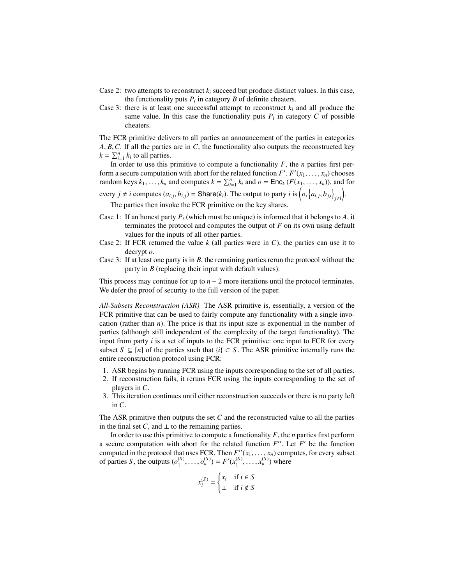- Case 2: two attempts to reconstruct  $k_i$  succeed but produce distinct values. In this case, the functionality puts  $P_i$  in category  $B$  of definite cheaters.
- Case 3: there is at least one successful attempt to reconstruct  $k_i$  and all produce the same value. In this case the functionality puts  $P_i$  in category  $C$  of possible cheaters.

The FCR primitive delivers to all parties an announcement of the parties in categories *<sup>A</sup>*, *<sup>B</sup>*,*C*. If all the parties are in *<sup>C</sup>*, the functionality also outputs the reconstructed key  $k = \sum_{i=1}^{n} k_i$  to all parties.

In order to use this primitive to compute a functionality  $F$ , the  $n$  parties first perform a secure computation with abort for the related function  $F'$ .  $F'(x_1, \ldots, x_n)$  chooses<br>random keys  $k_1, \ldots, k_n$  and computes  $k = \sum_{i=1}^{n} k_i$  and  $q = \text{Enc}(E(x_i, \ldots, x_n))$  and for random keys  $k_1, \ldots, k_n$  and computes  $k = \sum_{i=1}^n k_i$  and  $o = \text{Enc}_k(F(x_1, \ldots, x_n))$ , and for .

every  $j \neq i$  computes  $(a_{i,j}, b_{i,j})$  = Share( $k_i$ ). The output to party  $i$  is  $\left( o, \left\{ a_{i,j}, b_{j,i} \right\}_{j \neq i} \right)$ 

The parties then invoke the FCR primitive on the key shares.

- Case 1: If an honest party  $P_i$  (which must be unique) is informed that it belongs to  $A$ , it terminates the protocol and computes the output of *F* on its own using default values for the inputs of all other parties.
- Case 2: If FCR returned the value *k* (all parties were in *C*), the parties can use it to decrypt *o*.
- Case 3: If at least one party is in *B*, the remaining parties rerun the protocol without the party in *B* (replacing their input with default values).

This process may continue for up to  $n-2$  more iterations until the protocol terminates. We defer the proof of security to the full version of the paper.

*All-Subsets Reconstruction (ASR)* The ASR primitive is, essentially, a version of the FCR primitive that can be used to fairly compute any functionality with a single invocation (rather than *n*). The price is that its input size is exponential in the number of parties (although still independent of the complexity of the target functionality). The input from party *i* is a set of inputs to the FCR primitive: one input to FCR for every subset  $S \subseteq [n]$  of the parties such that  $\{i\} \subset S$ . The ASR primitive internally runs the entire reconstruction protocol using FCR:

- 1. ASR begins by running FCR using the inputs corresponding to the set of all parties.
- 2. If reconstruction fails, it reruns FCR using the inputs corresponding to the set of players in *C*.
- 3. This iteration continues until either reconstruction succeeds or there is no party left in *C*.

The ASR primitive then outputs the set *C* and the reconstructed value to all the parties in the final set *C*, and  $\perp$  to the remaining parties.

In order to use this primitive to compute a functionality *F*, the *n* parties first perform a secure computation with abort for the related function  $F''$ . Let  $F'$  be the function computed in the protocol that uses FCR. Then  $F''(x_1, ..., x_n)$  computes, for every subset of parties *S*, the outputs  $(o_1^{(S)}, ..., o_n^{(S)}) = F'(x_1^{(S)}, ..., x_n^{(S)})$  where  $P_1^{(S)}, \ldots, P_n^{(S)}$ ) =  $F'(x_1^{(S)})$  $x_1^{(S)}$ , ...,  $x_n^{(S)}$ ) where

$$
x_i^{(S)} = \begin{cases} x_i & \text{if } i \in S \\ \perp & \text{if } i \notin S \end{cases}
$$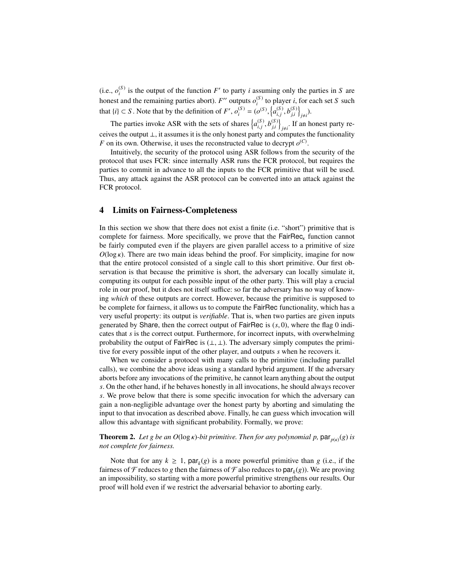(i.e.,  $o_i^{(S)}$  is the output of the function *F*<sup>'</sup> to party *i* assuming only the parties in *S* are honest and the remaining parties abort). *F*<sup>*''*</sup> outputs  $o_i^{(S)}$  to player *i*, for each set *S* such that  $\{i\} \subset S$ . Note that by the definition of  $F'$ ,  $o_i^{(S)} = (o^{(S)})$ ,  $\left\{a_i^{(S)}\right\}$  $\binom{(S)}{i,j}, b_{j,i}^{(S)}$ *j*,*i*  $\bigg\}$ <sub>j‡i</sub>).

The parties invoke ASR with the sets of shares  $\{a_i^{(S)}\}$  $\binom{(S)}{i,j}, b^{(S)}_{j,i}$ *j*,*i*  $\bigg\}$ <sub>*j*≠*i*</sub>. If an honest party receives the output ⊥, it assumes it is the only honest party and computes the functionality *F* on its own. Otherwise, it uses the reconstructed value to decrypt  $o^{(C)}$ .

Intuitively, the security of the protocol using ASR follows from the security of the protocol that uses FCR: since internally ASR runs the FCR protocol, but requires the parties to commit in advance to all the inputs to the FCR primitive that will be used. Thus, any attack against the ASR protocol can be converted into an attack against the FCR protocol.

#### 4 Limits on Fairness-Completeness

In this section we show that there does not exist a finite (i.e. "short") primitive that is complete for fairness. More specifically, we prove that the  $\overline{\mathsf{FairRec}}_k$  function cannot be fairly computed even if the players are given parallel access to a primitive of size  $O(log \kappa)$ . There are two main ideas behind the proof. For simplicity, imagine for now that the entire protocol consisted of a single call to this short primitive. Our first observation is that because the primitive is short, the adversary can locally simulate it, computing its output for each possible input of the other party. This will play a crucial role in our proof, but it does not itself suffice: so far the adversary has no way of knowing *which* of these outputs are correct. However, because the primitive is supposed to be complete for fairness, it allows us to compute the FairRec functionality, which has a very useful property: its output is *verifiable*. That is, when two parties are given inputs generated by Share, then the correct output of FairRec is (*s*, 0), where the flag 0 indicates that *s* is the correct output. Furthermore, for incorrect inputs, with overwhelming probability the output of FairRec is  $(\perp, \perp)$ . The adversary simply computes the primitive for every possible input of the other player, and outputs *s* when he recovers it.

When we consider a protocol with many calls to the primitive (including parallel calls), we combine the above ideas using a standard hybrid argument. If the adversary aborts before any invocations of the primitive, he cannot learn anything about the output *s*. On the other hand, if he behaves honestly in all invocations, he should always recover *s*. We prove below that there is some specific invocation for which the adversary can gain a non-negligible advantage over the honest party by aborting and simulating the input to that invocation as described above. Finally, he can guess which invocation will allow this advantage with significant probability. Formally, we prove:

### **Theorem 2.** *Let g be an O*(log  $\kappa$ )-bit primitive. Then for any polynomial p,  $\text{par}_{p(\kappa)}(g)$  is not complete for fairness *not complete for fairness.*

Note that for any  $k \geq 1$ ,  $\text{par}_k(g)$  is a more powerful primitive than *g* (i.e., if the fairness of  $\mathcal F$  reduces to  $g$  then the fairness of  $\mathcal F$  also reduces to  $\textsf{par}_k(g)$ ). We are proving an impossibility, so starting with a more powerful primitive strengthens our results. Our proof will hold even if we restrict the adversarial behavior to aborting early.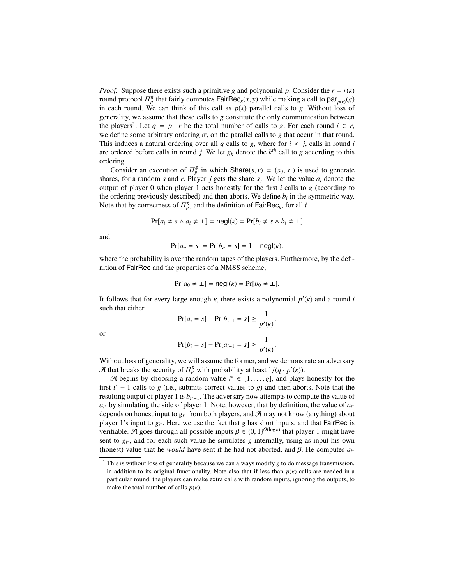*Proof.* Suppose there exists such a primitive *g* and polynomial *p*. Consider the  $r = r(\kappa)$ round protocol  $\Pi_{\beta}^g$  that fairly computes FairRec<sub>k</sub>(*x*, *y*) while making a call to par<sub>*p*(*k*)</sub>(*g*) in each round. We can think of this call as *p*(*k*) parallel calls to *g*. Without loss of in each round. We can think of this call as  $p(k)$  parallel calls to *g*. Without loss of generality, we assume that these calls to *g* constitute the only communication between the players<sup>5</sup>. Let  $q = p \cdot r$  be the total number of calls to g. For each round  $i \in r$ , we define some arbitrary ordering  $\sigma_i$  on the parallel calls to *g* that occur in that round. This induces a natural ordering over all  $q$  calls to  $g$ , where for  $i < j$ , calls in round  $i$ are ordered before calls in round *j*. We let  $g_k$  denote the  $k^{th}$  call to  $g$  according to this ordering.

Consider an execution of  $\Pi_p^g$  in which Share(*s*,*r*) = (*s*<sub>0</sub>, *s*<sub>1</sub>) is used to generate<br>res for a random *s* and *r*. Player *i* gets the share *s*. We let the value *a*, denote the shares, for a random *s* and *r*. Player *j* gets the share *s<sup>j</sup>* . We let the value *a<sup>i</sup>* denote the output of player 0 when player 1 acts honestly for the first *i* calls to *g* (according to the ordering previously described) and then aborts. We define  $b_i$  in the symmetric way. Note that by correctness of  $\Pi_p^g$ , and the definition of FairRec<sub>k</sub>, for all *i* 

$$
\Pr[a_i \neq s \land a_i \neq \bot] = \mathsf{negl}(\kappa) = \Pr[b_i \neq s \land b_i \neq \bot]
$$

and

$$
Pr[a_q = s] = Pr[b_q = s] = 1 - negl(\kappa).
$$

where the probability is over the random tapes of the players. Furthermore, by the definition of FairRec and the properties of a NMSS scheme,

$$
Pr[a_0 \neq \bot] = negl(\kappa) = Pr[b_0 \neq \bot].
$$

It follows that for every large enough  $\kappa$ , there exists a polynomial  $p'(\kappa)$  and a round *i* such that either such that either

$$
\Pr[a_i = s] - \Pr[b_{i-1} = s] \ge \frac{1}{p'(k)}.
$$

or

$$
Pr[b_i = s] - Pr[a_{i-1} = s] \ge \frac{1}{p'(k)}.
$$

Without loss of generality, we will assume the former, and we demonstrate an adversary A that breaks the security of  $\Pi_p^g$  with probability at least  $1/(q \cdot p'(\kappa))$ .<br>
A begins by choosing a random value  $i^* \in [1 \quad a]$  and plays

*A* begins by choosing a random value  $i^*$  ∈ [1, ..., *q*], and plays honestly for the  $i^*$  – 1 calls to *a* (i.e. submits correct values to *a*) and then aborts. Note that the first  $i^*$  − 1 calls to *g* (i.e., submits correct values to *g*) and then aborts. Note that the resulting output of player 1 is *b<sup>i</sup>* <sup>∗</sup>−1. The adversary now attempts to compute the value of  $a_{i^*}$  by simulating the side of player 1. Note, however, that by definition, the value of  $a_{i^*}$ depends on honest input to  $g_{i^*}$  from both players, and  $\mathcal{A}$  may not know (anything) about player 1's input to  $g_i$ <sup>\*</sup>. Here we use the fact that *g* has short inputs, and that FairRec is verifiable. A goes through all possible inputs  $\beta \in \{0, 1\}^{O(\log k)}$  that player 1 might have sent to  $g_i$ <sup>\*</sup>, and for each such value he simulates  $g$  internally, using as input his own (honest) value that he *would* have sent if he had not aborted, and  $\beta$ . He computes  $a_i$ 

<sup>5</sup> This is without loss of generality because we can always modify *g* to do message transmission, in addition to its original functionality. Note also that if less than  $p(k)$  calls are needed in a particular round, the players can make extra calls with random inputs, ignoring the outputs, to make the total number of calls  $p(k)$ .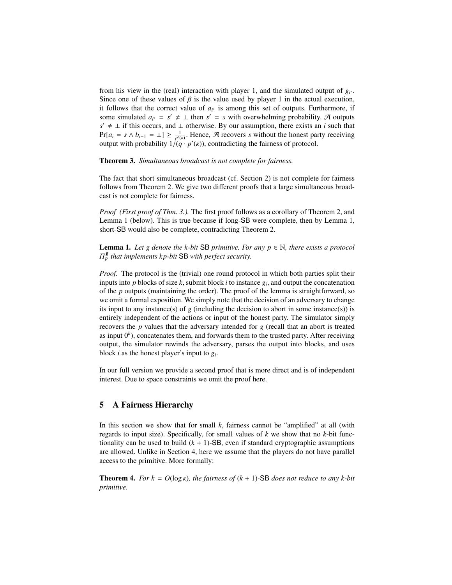from his view in the (real) interaction with player 1, and the simulated output of  $g_i$ . Since one of these values of  $\beta$  is the value used by player 1 in the actual execution, it follows that the correct value of  $a_i$ <sup>\*</sup> is among this set of outputs. Furthermore, if some simulated  $a_{i^*} = s' \neq \perp$  then  $s' = s$  with overwhelming probability. A outputs  $s'$  ≠ ⊥ if this occurs, and ⊥ otherwise. By our assumption, there exists an *i* such that  $Pr[a_i = s \land b_{i-1} = \bot] \geq \frac{1}{p'(s)}$ . Hence, A recovers *s* without the honest party receiving output with probability  $1/(a \cdot p'(s))$  contradicting the fairness of protocol output with probability  $1/(q \cdot p'(k))$ , contradicting the fairness of protocol.

Theorem 3. *Simultaneous broadcast is not complete for fairness.*

The fact that short simultaneous broadcast (cf. Section 2) is not complete for fairness follows from Theorem 2. We give two different proofs that a large simultaneous broadcast is not complete for fairness.

*Proof (First proof of Thm. 3.).* The first proof follows as a corollary of Theorem 2, and Lemma 1 (below). This is true because if long-SB were complete, then by Lemma 1, short-SB would also be complete, contradicting Theorem 2.

**Lemma 1.** Let g denote the k-bit SB primitive. For any  $p \in \mathbb{N}$ , there exists a protocol *g p that implements kp-bit* SB *with perfect security.*

*Proof.* The protocol is the (trivial) one round protocol in which both parties split their inputs into *p* blocks of size *k*, submit block *i* to instance *g<sup>i</sup>* , and output the concatenation of the *p* outputs (maintaining the order). The proof of the lemma is straightforward, so we omit a formal exposition. We simply note that the decision of an adversary to change its input to any instance(s) of  $g$  (including the decision to abort in some instance(s)) is entirely independent of the actions or input of the honest party. The simulator simply recovers the *p* values that the adversary intended for *g* (recall that an abort is treated as input  $0^k$ ), concatenates them, and forwards them to the trusted party. After receiving output, the simulator rewinds the adversary, parses the output into blocks, and uses block *i* as the honest player's input to  $g_i$ .

In our full version we provide a second proof that is more direct and is of independent interest. Due to space constraints we omit the proof here.

## 5 A Fairness Hierarchy

In this section we show that for small *k*, fairness cannot be "amplified" at all (with regards to input size). Specifically, for small values of *k* we show that no *k*-bit functionality can be used to build  $(k + 1)$ -SB, even if standard cryptographic assumptions are allowed. Unlike in Section 4, here we assume that the players do not have parallel access to the primitive. More formally:

**Theorem 4.** *For k* =  $O(\log \kappa)$ *, the fairness of*  $(k + 1)$ -SB *does not reduce to any k-bit primitive.*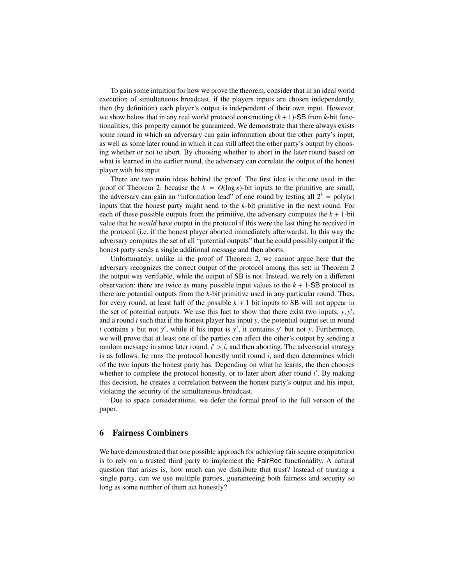To gain some intuition for how we prove the theorem, consider that in an ideal world execution of simultaneous broadcast, if the players inputs are chosen independently, then (by definition) each player's output is independent of their own input. However, we show below that in any real world protocol constructing  $(k + 1)$ -SB from *k*-bit functionalities, this property cannot be guaranteed. We demonstrate that there always exists some round in which an adversary can gain information about the other party's input, as well as some later round in which it can still affect the other party's output by choosing whether or not to abort. By choosing whether to abort in the later round based on what is learned in the earlier round, the adversary can correlate the output of the honest player with his input.

There are two main ideas behind the proof. The first idea is the one used in the proof of Theorem 2: because the  $k = O(\log \kappa)$ -bit inputs to the primitive are small, the adversary can gain an "information lead" of one round by testing all  $2^k = \text{poly}(k)$ inputs that the honest party might send to the *k*-bit primitive in the next round. For each of these possible outputs from the primitive, the adversary computes the  $k + 1$ -bit value that he *would* have output in the protocol if this were the last thing he received in the protocol (i.e. if the honest player aborted immediately afterwards). In this way the adversary computes the set of all "potential outputs" that he could possibly output if the honest party sends a single additional message and then aborts.

Unfortunately, unlike in the proof of Theorem 2, we cannot argue here that the adversary recognizes the correct output of the protocol among this set: in Theorem 2 the output was verifiable, while the output of SB is not. Instead, we rely on a different observation: there are twice as many possible input values to the  $k + 1$ -SB protocol as there are potential outputs from the *k*-bit primitive used in any particular round. Thus, for every round, at least half of the possible  $k + 1$  bit inputs to SB will not appear in the set of potential outputs. We use this fact to show that there exist two inputs,  $y, y'$ , and a round *i* such that if the honest player has input *y* the potential output set in round and a round *i* such that if the honest player has input *y*, the potential output set in round *i* contains *y* but not *y'*, while if his input is *y'*, it contains *y'* but not *y*. Furthermore, we will prove that at least one of the parties can affect the other's output by sending a random message in some later round,  $i' > i$ , and then aborting. The adversarial strategy<br>is as follows: he runs the protocol bonestly until round  $i$ , and then determines which is as follows: he runs the protocol honestly until round *i*, and then determines which of the two inputs the honest party has. Depending on what he learns, the then chooses whether to complete the protocol honestly, or to later abort after round *i'*. By making this decision, he creates a correlation between the honest party's output and his input, violating the security of the simultaneous broadcast.

Due to space considerations, we defer the formal proof to the full version of the paper.

## 6 Fairness Combiners

We have demonstrated that one possible approach for achieving fair secure computation is to rely on a trusted third party to implement the FairRec functionality. A natural question that arises is, how much can we distribute that trust? Instead of trusting a single party, can we use multiple parties, guaranteeing both fairness and security so long as some number of them act honestly?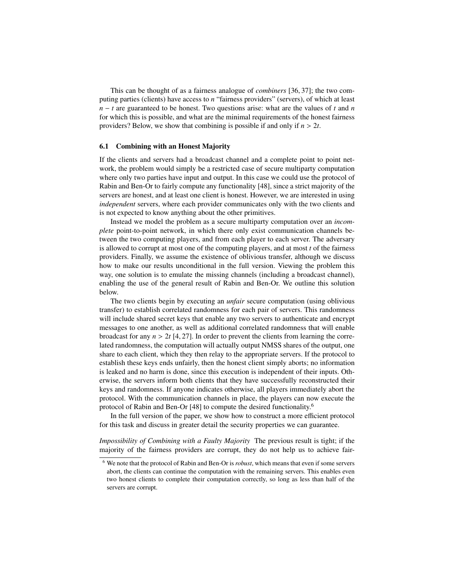This can be thought of as a fairness analogue of *combiners* [36, 37]; the two computing parties (clients) have access to *n* "fairness providers" (servers), of which at least *n* − *t* are guaranteed to be honest. Two questions arise: what are the values of *t* and *n* for which this is possible, and what are the minimal requirements of the honest fairness providers? Below, we show that combining is possible if and only if  $n > 2t$ .

#### 6.1 Combining with an Honest Majority

If the clients and servers had a broadcast channel and a complete point to point network, the problem would simply be a restricted case of secure multiparty computation where only two parties have input and output. In this case we could use the protocol of Rabin and Ben-Or to fairly compute any functionality [48], since a strict majority of the servers are honest, and at least one client is honest. However, we are interested in using *independent* servers, where each provider communicates only with the two clients and is not expected to know anything about the other primitives.

Instead we model the problem as a secure multiparty computation over an *incomplete* point-to-point network, in which there only exist communication channels between the two computing players, and from each player to each server. The adversary is allowed to corrupt at most one of the computing players, and at most *t* of the fairness providers. Finally, we assume the existence of oblivious transfer, although we discuss how to make our results unconditional in the full version. Viewing the problem this way, one solution is to emulate the missing channels (including a broadcast channel), enabling the use of the general result of Rabin and Ben-Or. We outline this solution below.

The two clients begin by executing an *unfair* secure computation (using oblivious transfer) to establish correlated randomness for each pair of servers. This randomness will include shared secret keys that enable any two servers to authenticate and encrypt messages to one another, as well as additional correlated randomness that will enable broadcast for any  $n > 2t$  [4, 27]. In order to prevent the clients from learning the correlated randomness, the computation will actually output NMSS shares of the output, one share to each client, which they then relay to the appropriate servers. If the protocol to establish these keys ends unfairly, then the honest client simply aborts; no information is leaked and no harm is done, since this execution is independent of their inputs. Otherwise, the servers inform both clients that they have successfully reconstructed their keys and randomness. If anyone indicates otherwise, all players immediately abort the protocol. With the communication channels in place, the players can now execute the protocol of Rabin and Ben-Or [48] to compute the desired functionality.<sup>6</sup>

In the full version of the paper, we show how to construct a more efficient protocol for this task and discuss in greater detail the security properties we can guarantee.

*Impossibility of Combining with a Faulty Majority* The previous result is tight; if the majority of the fairness providers are corrupt, they do not help us to achieve fair-

<sup>6</sup> We note that the protocol of Rabin and Ben-Or is *robust*, which means that even if some servers abort, the clients can continue the computation with the remaining servers. This enables even two honest clients to complete their computation correctly, so long as less than half of the servers are corrupt.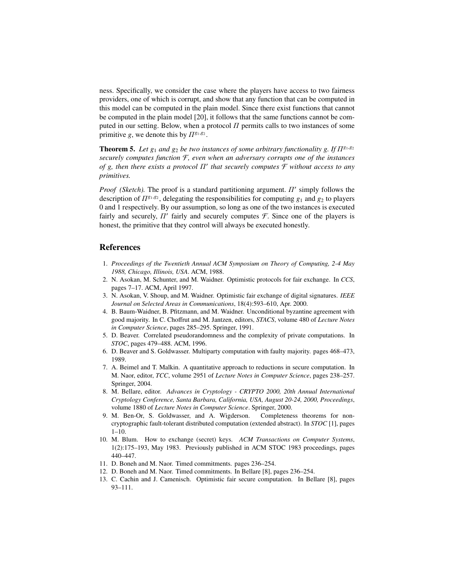ness. Specifically, we consider the case where the players have access to two fairness providers, one of which is corrupt, and show that any function that can be computed in this model can be computed in the plain model. Since there exist functions that cannot be computed in the plain model [20], it follows that the same functions cannot be computed in our setting. Below, when a protocol  $\Pi$  permits calls to two instances of some primitive *g*, we denote this by  $\Pi^{g_1,g_2}$ .

**Theorem 5.** Let  $g_1$  and  $g_2$  be two instances of some arbitrary functionality g. If  $\Pi^{g_1,g_2}$ <br>securely computes function  $\mathcal{F}$ , even when an adversary corrunts one of the instances *securely computes function* F*, even when an adversary corrupts one of the instances of g, then there exists a protocol Π' that securely computes F without access to any*<br>primitives *primitives.*

*Proof (Sketch)*. The proof is a standard partitioning argument.  $\Pi'$  simply follows the description of  $\Pi_{0}^{g_1,g_2}$  delegating the responsibilities for computing  $g_1$  and  $g_2$  to players description of  $\Pi^{g_1,g_2}$ , delegating the responsibilities for computing  $g_1$  and  $g_2$  to players 0 and 1 respectively. By our assumption, so long as one of the two instances is executed 0 and 1 respectively. By our assumption, so long as one of the two instances is executed fairly and securely,  $\Pi'$  fairly and securely computes  $\mathcal F$ . Since one of the players is honest the primitive that they control will always be executed honestly. honest, the primitive that they control will always be executed honestly.

## References

- 1. *Proceedings of the Twentieth Annual ACM Symposium on Theory of Computing, 2-4 May 1988, Chicago, Illinois, USA*. ACM, 1988.
- 2. N. Asokan, M. Schunter, and M. Waidner. Optimistic protocols for fair exchange. In *CCS*, pages 7–17. ACM, April 1997.
- 3. N. Asokan, V. Shoup, and M. Waidner. Optimistic fair exchange of digital signatures. *IEEE Journal on Selected Areas in Communications*, 18(4):593–610, Apr. 2000.
- 4. B. Baum-Waidner, B. Pfitzmann, and M. Waidner. Unconditional byzantine agreement with good majority. In C. Choffrut and M. Jantzen, editors, *STACS*, volume 480 of *Lecture Notes in Computer Science*, pages 285–295. Springer, 1991.
- 5. D. Beaver. Correlated pseudorandomness and the complexity of private computations. In *STOC*, pages 479–488. ACM, 1996.
- 6. D. Beaver and S. Goldwasser. Multiparty computation with faulty majority. pages 468–473, 1989.
- 7. A. Beimel and T. Malkin. A quantitative approach to reductions in secure computation. In M. Naor, editor, *TCC*, volume 2951 of *Lecture Notes in Computer Science*, pages 238–257. Springer, 2004.
- 8. M. Bellare, editor. *Advances in Cryptology CRYPTO 2000, 20th Annual International Cryptology Conference, Santa Barbara, California, USA, August 20-24, 2000, Proceedings*, volume 1880 of *Lecture Notes in Computer Science*. Springer, 2000.
- 9. M. Ben-Or, S. Goldwasser, and A. Wigderson. Completeness theorems for noncryptographic fault-tolerant distributed computation (extended abstract). In *STOC* [1], pages  $1 - 10$
- 10. M. Blum. How to exchange (secret) keys. *ACM Transactions on Computer Systems*, 1(2):175–193, May 1983. Previously published in ACM STOC 1983 proceedings, pages 440–447.
- 11. D. Boneh and M. Naor. Timed commitments. pages 236–254.
- 12. D. Boneh and M. Naor. Timed commitments. In Bellare [8], pages 236–254.
- 13. C. Cachin and J. Camenisch. Optimistic fair secure computation. In Bellare [8], pages 93–111.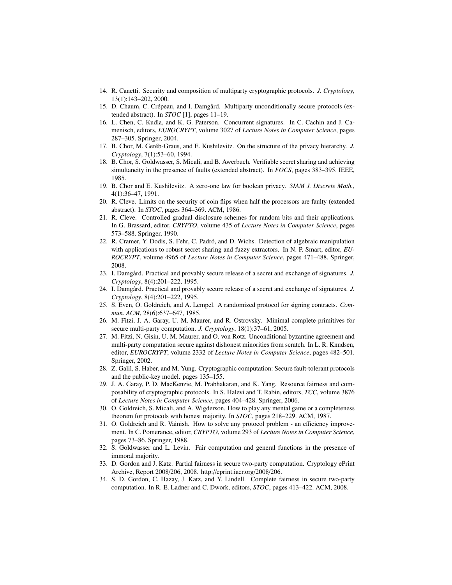- 14. R. Canetti. Security and composition of multiparty cryptographic protocols. *J. Cryptology*, 13(1):143–202, 2000.
- 15. D. Chaum, C. Crépeau, and I. Damgård. Multiparty unconditionally secure protocols (extended abstract). In *STOC* [1], pages 11–19.
- 16. L. Chen, C. Kudla, and K. G. Paterson. Concurrent signatures. In C. Cachin and J. Camenisch, editors, *EUROCRYPT*, volume 3027 of *Lecture Notes in Computer Science*, pages 287–305. Springer, 2004.
- 17. B. Chor, M. Geréb-Graus, and E. Kushilevitz. On the structure of the privacy hierarchy. J. *Cryptology*, 7(1):53–60, 1994.
- 18. B. Chor, S. Goldwasser, S. Micali, and B. Awerbuch. Verifiable secret sharing and achieving simultaneity in the presence of faults (extended abstract). In *FOCS*, pages 383–395. IEEE, 1985.
- 19. B. Chor and E. Kushilevitz. A zero-one law for boolean privacy. *SIAM J. Discrete Math.*, 4(1):36–47, 1991.
- 20. R. Cleve. Limits on the security of coin flips when half the processors are faulty (extended abstract). In *STOC*, pages 364–369. ACM, 1986.
- 21. R. Cleve. Controlled gradual disclosure schemes for random bits and their applications. In G. Brassard, editor, *CRYPTO*, volume 435 of *Lecture Notes in Computer Science*, pages 573–588. Springer, 1990.
- 22. R. Cramer, Y. Dodis, S. Fehr, C. Padró, and D. Wichs. Detection of algebraic manipulation with applications to robust secret sharing and fuzzy extractors. In N. P. Smart, editor, *EU-ROCRYPT*, volume 4965 of *Lecture Notes in Computer Science*, pages 471–488. Springer, 2008.
- 23. I. Damgård. Practical and provably secure release of a secret and exchange of signatures. *J. Cryptology*, 8(4):201–222, 1995.
- 24. I. Damgård. Practical and provably secure release of a secret and exchange of signatures. *J. Cryptology*, 8(4):201–222, 1995.
- 25. S. Even, O. Goldreich, and A. Lempel. A randomized protocol for signing contracts. *Commun. ACM*, 28(6):637–647, 1985.
- 26. M. Fitzi, J. A. Garay, U. M. Maurer, and R. Ostrovsky. Minimal complete primitives for secure multi-party computation. *J. Cryptology*, 18(1):37–61, 2005.
- 27. M. Fitzi, N. Gisin, U. M. Maurer, and O. von Rotz. Unconditional byzantine agreement and multi-party computation secure against dishonest minorities from scratch. In L. R. Knudsen, editor, *EUROCRYPT*, volume 2332 of *Lecture Notes in Computer Science*, pages 482–501. Springer, 2002.
- 28. Z. Galil, S. Haber, and M. Yung. Cryptographic computation: Secure fault-tolerant protocols and the public-key model. pages 135–155.
- 29. J. A. Garay, P. D. MacKenzie, M. Prabhakaran, and K. Yang. Resource fairness and composability of cryptographic protocols. In S. Halevi and T. Rabin, editors, *TCC*, volume 3876 of *Lecture Notes in Computer Science*, pages 404–428. Springer, 2006.
- 30. O. Goldreich, S. Micali, and A. Wigderson. How to play any mental game or a completeness theorem for protocols with honest majority. In *STOC*, pages 218–229. ACM, 1987.
- 31. O. Goldreich and R. Vainish. How to solve any protocol problem an efficiency improvement. In C. Pomerance, editor, *CRYPTO*, volume 293 of *Lecture Notes in Computer Science*, pages 73–86. Springer, 1988.
- 32. S. Goldwasser and L. Levin. Fair computation and general functions in the presence of immoral majority.
- 33. D. Gordon and J. Katz. Partial fairness in secure two-party computation. Cryptology ePrint Archive, Report 2008/206, 2008. http://eprint.iacr.org/2008/206.
- 34. S. D. Gordon, C. Hazay, J. Katz, and Y. Lindell. Complete fairness in secure two-party computation. In R. E. Ladner and C. Dwork, editors, *STOC*, pages 413–422. ACM, 2008.